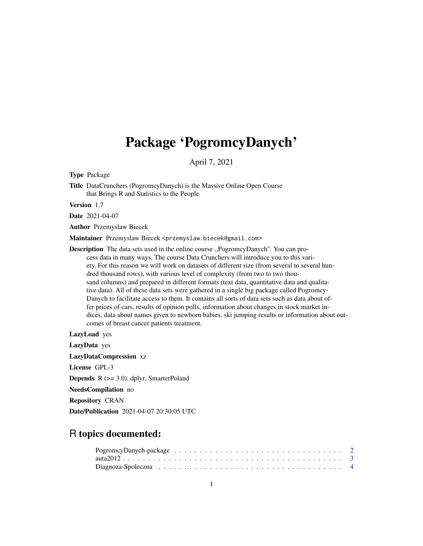## Package 'PogromcyDanych'

April 7, 2021

Type Package

Title DataCrunchers (PogromcyDanych) is the Massive Online Open Course that Brings R and Statistics to the People

Version 1.7

Date 2021-04-07

Author Przemyslaw Biecek

Maintainer Przemyslaw Biecek <przemyslaw.biecek@gmail.com>

Description The data sets used in the online course ,,PogromcyDanych''. You can process data in many ways. The course Data Crunchers will introduce you to this variety. For this reason we will work on datasets of different size (from several to several hundred thousand rows), with various level of complexity (from two to two thousand columns) and prepared in different formats (text data, quantitative data and qualitative data). All of these data sets were gathered in a single big package called Pogromcy-Danych to facilitate access to them. It contains all sorts of data sets such as data about offer prices of cars, results of opinion polls, information about changes in stock market indices, data about names given to newborn babies, ski jumping results or information about outcomes of breast cancer patients treatment.

LazyLoad yes

LazyData yes

LazyDataCompression xz

License GPL-3

**Depends**  $R$  ( $>= 3.0$ ), dplyr, SmarterPoland

NeedsCompilation no

Repository CRAN

Date/Publication 2021-04-07 20:30:05 UTC

## R topics documented: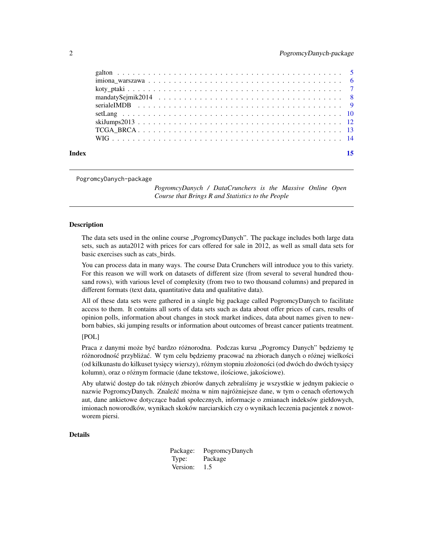<span id="page-1-0"></span>

| Index |  |
|-------|--|

PogromcyDanych-package

*PogromcyDanych / DataCrunchers is the Massive Online Open Course that Brings R and Statistics to the People*

#### Description

The data sets used in the online course "PogromcyDanych". The package includes both large data sets, such as auta2012 with prices for cars offered for sale in 2012, as well as small data sets for basic exercises such as cats\_birds.

You can process data in many ways. The course Data Crunchers will introduce you to this variety. For this reason we will work on datasets of different size (from several to several hundred thousand rows), with various level of complexity (from two to two thousand columns) and prepared in different formats (text data, quantitative data and qualitative data).

All of these data sets were gathered in a single big package called PogromcyDanych to facilitate access to them. It contains all sorts of data sets such as data about offer prices of cars, results of opinion polls, information about changes in stock market indices, data about names given to newborn babies, ski jumping results or information about outcomes of breast cancer patients treatment.

#### [POL]

Praca z danymi może być bardzo różnorodna. Podczas kursu "Pogromcy Danych" będziemy tę różnorodność przybliżać. W tym celu będziemy pracować na zbiorach danych o różnej wielkości (od kilkunastu do kilkuset tysięcy wierszy), różnym stopniu złożoności (od dwóch do dwóch tysięcy kolumn), oraz o różnym formacie (dane tekstowe, ilościowe, jakościowe).

Aby ułatwić dostęp do tak różnych zbiorów danych zebraliśmy je wszystkie w jednym pakiecie o nazwie PogromcyDanych. Znaleźć można w nim najróżniejsze dane, w tym o cenach ofertowych aut, dane ankietowe dotyczące badań społecznych, informacje o zmianach indeksów giełdowych, imionach noworodków, wynikach skoków narciarskich czy o wynikach leczenia pacjentek z nowotworem piersi.

#### Details

Package: PogromcyDanych Type: Package Version: 1.5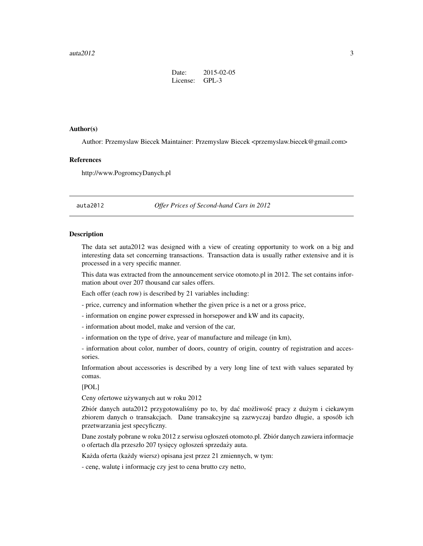| Date:    | 2015-02-05 |
|----------|------------|
| License: | $GPL-3$    |

#### <span id="page-2-0"></span>Author(s)

Author: Przemyslaw Biecek Maintainer: Przemyslaw Biecek <przemyslaw.biecek@gmail.com>

#### References

http://www.PogromcyDanych.pl

auta2012 *Offer Prices of Second-hand Cars in 2012*

#### Description

The data set auta2012 was designed with a view of creating opportunity to work on a big and interesting data set concerning transactions. Transaction data is usually rather extensive and it is processed in a very specific manner.

This data was extracted from the announcement service otomoto.pl in 2012. The set contains information about over 207 thousand car sales offers.

Each offer (each row) is described by 21 variables including:

- price, currency and information whether the given price is a net or a gross price,

- information on engine power expressed in horsepower and kW and its capacity,

- information about model, make and version of the car,

- information on the type of drive, year of manufacture and mileage (in km),

- information about color, number of doors, country of origin, country of registration and accessories.

Information about accessories is described by a very long line of text with values separated by comas.

#### [POL]

Ceny ofertowe używanych aut w roku 2012

Zbiór danych auta2012 przygotowaliśmy po to, by dać możliwość pracy z dużym i ciekawym zbiorem danych o transakcjach. Dane transakcyjne są zazwyczaj bardzo długie, a sposób ich przetwarzania jest specyficzny.

Dane zostały pobrane w roku 2012 z serwisu ogłoszeń otomoto.pl. Zbiór danych zawiera informacje o ofertach dla przeszło 207 tysięcy ogłoszeń sprzedaży auta.

Każda oferta (każdy wiersz) opisana jest przez 21 zmiennych, w tym:

- cenę, walutę i informację czy jest to cena brutto czy netto,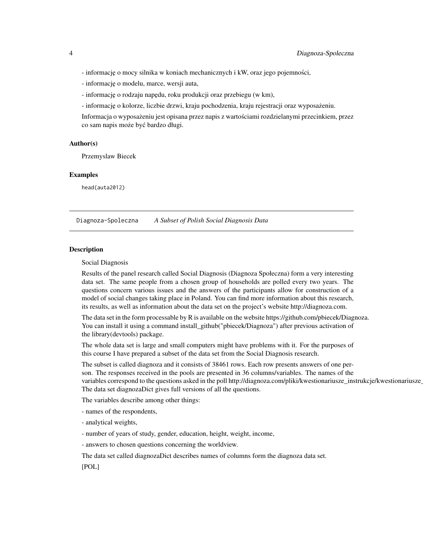<span id="page-3-0"></span>- informację o mocy silnika w koniach mechanicznych i kW, oraz jego pojemności,

- informacj˛e o modelu, marce, wersji auta,
- informację o rodzaju napędu, roku produkcji oraz przebiegu (w km),
- informacj˛e o kolorze, liczbie drzwi, kraju pochodzenia, kraju rejestracji oraz wyposazeniu. ˙

Informacja o wyposażeniu jest opisana przez napis z wartościami rozdzielanymi przecinkiem, przez co sam napis może być bardzo długi.

#### Author(s)

Przemyslaw Biecek

#### Examples

head(auta2012)

Diagnoza-Spoleczna *A Subset of Polish Social Diagnosis Data*

### **Description**

Social Diagnosis

Results of the panel research called Social Diagnosis (Diagnoza Społeczna) form a very interesting data set. The same people from a chosen group of households are polled every two years. The questions concern various issues and the answers of the participants allow for construction of a model of social changes taking place in Poland. You can find more information about this research, its results, as well as information about the data set on the project's website http://diagnoza.com.

The data set in the form processable by R is available on the website https://github.com/pbiecek/Diagnoza. You can install it using a command install\_github("pbiecek/Diagnoza") after previous activation of the library(devtools) package.

The whole data set is large and small computers might have problems with it. For the purposes of this course I have prepared a subset of the data set from the Social Diagnosis research.

The subset is called diagnoza and it consists of 38461 rows. Each row presents answers of one person. The responses received in the pools are presented in 36 columns/variables. The names of the variables correspond to the questions asked in the poll http://diagnoza.com/pliki/kwestionariusze\_instrukcje/kwestionariusze The data set diagnozaDict gives full versions of all the questions.

The variables describe among other things:

- names of the respondents,
- analytical weights,
- number of years of study, gender, education, height, weight, income,
- answers to chosen questions concerning the worldview.

The data set called diagnozaDict describes names of columns form the diagnoza data set.

[POL]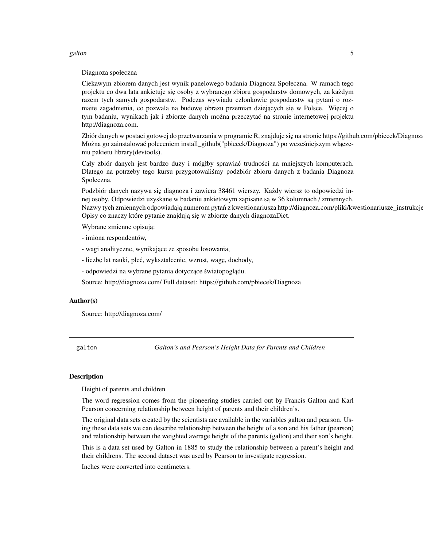#### <span id="page-4-0"></span>galton 5 and 5 and 5 and 5 and 6 and 6 and 6 and 6 and 6 and 6 and 6 and 6 and 6 and 6 and 6 and 6 and 6 and 6

#### Diagnoza społeczna

Ciekawym zbiorem danych jest wynik panelowego badania Diagnoza Społeczna. W ramach tego projektu co dwa lata ankietuje się osoby z wybranego zbioru gospodarstw domowych, za każdym razem tych samych gospodarstw. Podczas wywiadu członkowie gospodarstw są pytani o rozmaite zagadnienia, co pozwala na budowę obrazu przemian dziejących się w Polsce. Więcej o tym badaniu, wynikach jak i zbiorze danych można przeczytać na stronie internetowej projektu http://diagnoza.com.

Zbiór danych w postaci gotowej do przetwarzania w programie R, znajduje się na stronie https://github.com/pbiecek/Diagnoza. Można go zainstalować poleceniem install\_github("pbiecek/Diagnoza") po wcześniejszym włączeniu pakietu library(devtools).

Cały zbiór danych jest bardzo duży i mógłby sprawiać trudności na mniejszych komputerach. Dlatego na potrzeby tego kursu przygotowalismy podzbiór zbioru danych z badania Diagnoza ´ Społeczna.

Podzbiór danych nazywa się diagnoza i zawiera 38461 wierszy. Każdy wiersz to odpowiedzi innej osoby. Odpowiedzi uzyskane w badaniu ankietowym zapisane są w 36 kolumnach / zmiennych. Nazwy tych zmiennych odpowiadają numerom pytań z kwestionariusza http://diagnoza.com/pliki/kwestionariusze\_instrukcje Opisy co znaczy które pytanie znajdują się w zbiorze danych diagnozaDict.

Wybrane zmienne opisują:

- imiona respondentów,

- wagi analityczne, wynikające ze sposobu losowania,

- liczbę lat nauki, płeć, wykształcenie, wzrost, wagę, dochody,

- odpowiedzi na wybrane pytania dotyczące światopoglądu.

Source: http://diagnoza.com/ Full dataset: https://github.com/pbiecek/Diagnoza

#### Author(s)

Source: http://diagnoza.com/

galton *Galton's and Pearson's Height Data for Parents and Children*

#### **Description**

Height of parents and children

The word regression comes from the pioneering studies carried out by Francis Galton and Karl Pearson concerning relationship between height of parents and their children's.

The original data sets created by the scientists are available in the variables galton and pearson. Using these data sets we can describe relationship between the height of a son and his father (pearson) and relationship between the weighted average height of the parents (galton) and their son's height.

This is a data set used by Galton in 1885 to study the relationship between a parent's height and their childrens. The second dataset was used by Pearson to investigate regression.

Inches were converted into centimeters.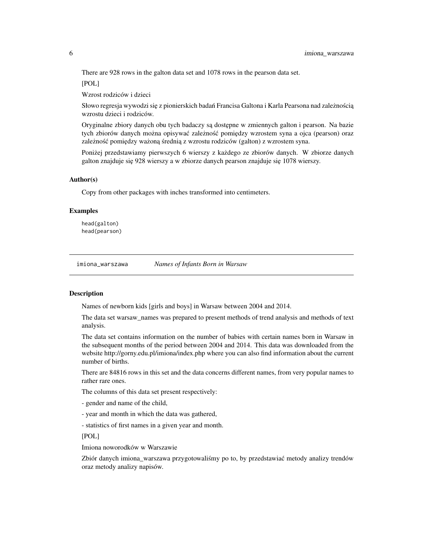<span id="page-5-0"></span>There are 928 rows in the galton data set and 1078 rows in the pearson data set.

[POL]

Wzrost rodziców i dzieci

Słowo regresja wywodzi się z pionierskich badań Francisa Galtona i Karla Pearsona nad zależnością wzrostu dzieci i rodziców.

Oryginalne zbiory danych obu tych badaczy są dostępne w zmiennych galton i pearson. Na bazie tych zbiorów danych można opisywać zależność pomiędzy wzrostem syna a ojca (pearson) oraz zależność pomiędzy ważoną średnią z wzrostu rodziców (galton) z wzrostem syna.

Poniżej przedstawiamy pierwszych 6 wierszy z każdego ze zbiorów danych. W zbiorze danych galton znajduje się 928 wierszy a w zbiorze danych pearson znajduje się 1078 wierszy.

#### Author(s)

Copy from other packages with inches transformed into centimeters.

#### Examples

head(galton) head(pearson)

imiona\_warszawa *Names of Infants Born in Warsaw*

#### Description

Names of newborn kids [girls and boys] in Warsaw between 2004 and 2014.

The data set warsaw\_names was prepared to present methods of trend analysis and methods of text analysis.

The data set contains information on the number of babies with certain names born in Warsaw in the subsequent months of the period between 2004 and 2014. This data was downloaded from the website http://gorny.edu.pl/imiona/index.php where you can also find information about the current number of births.

There are 84816 rows in this set and the data concerns different names, from very popular names to rather rare ones.

The columns of this data set present respectively:

- gender and name of the child,

- year and month in which the data was gathered,

- statistics of first names in a given year and month.

[POL]

Imiona noworodków w Warszawie

Zbiór danych imiona\_warszawa przygotowaliśmy po to, by przedstawiać metody analizy trendów oraz metody analizy napisów.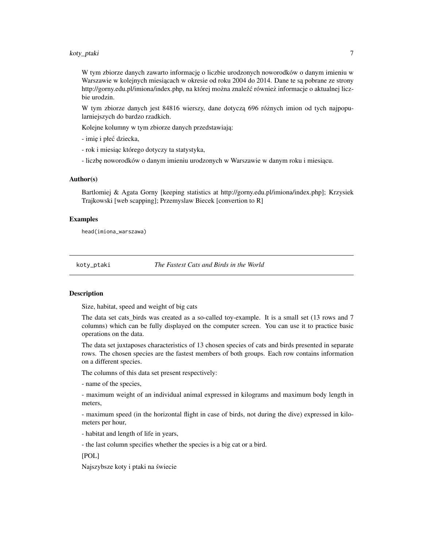### <span id="page-6-0"></span>koty\_ptaki 7

W tym zbiorze danych zawarto informację o liczbie urodzonych noworodków o danym imieniu w Warszawie w kolejnych miesiącach w okresie od roku 2004 do 2014. Dane te są pobrane ze strony http://gorny.edu.pl/imiona/index.php, na której można znaleźć również informacje o aktualnej liczbie urodzin.

W tym zbiorze danych jest 84816 wierszy, dane dotyczą 696 różnych imion od tych najpopularniejszych do bardzo rzadkich.

Kolejne kolumny w tym zbiorze danych przedstawiają:

- imię i płeć dziecka,

- rok i miesiąc którego dotyczy ta statystyka,

- liczbę noworodków o danym imieniu urodzonych w Warszawie w danym roku i miesiącu.

#### Author(s)

Bartlomiej & Agata Gorny [keeping statistics at http://gorny.edu.pl/imiona/index.php]; Krzysiek Trajkowski [web scapping]; Przemyslaw Biecek [convertion to R]

#### Examples

head(imiona\_warszawa)

koty\_ptaki *The Fastest Cats and Birds in the World*

#### **Description**

Size, habitat, speed and weight of big cats

The data set cats\_birds was created as a so-called toy-example. It is a small set (13 rows and 7 columns) which can be fully displayed on the computer screen. You can use it to practice basic operations on the data.

The data set juxtaposes characteristics of 13 chosen species of cats and birds presented in separate rows. The chosen species are the fastest members of both groups. Each row contains information on a different species.

The columns of this data set present respectively:

- name of the species,

- maximum weight of an individual animal expressed in kilograms and maximum body length in meters,

- maximum speed (in the horizontal flight in case of birds, not during the dive) expressed in kilometers per hour,

- habitat and length of life in years,

- the last column specifies whether the species is a big cat or a bird.

[POL]

Najszybsze koty i ptaki na swiecie ´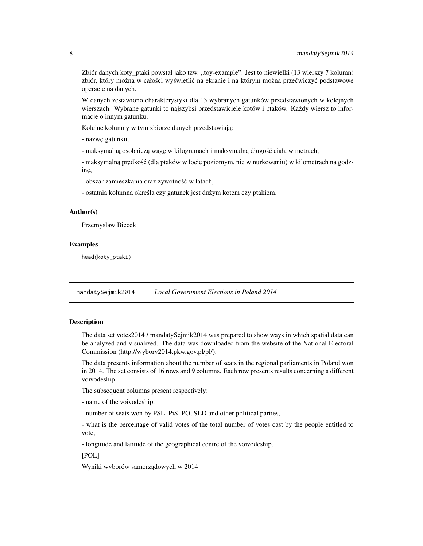<span id="page-7-0"></span>Zbiór danych koty\_ptaki powstał jako tzw. "toy-example". Jest to niewielki (13 wierszy 7 kolumn) zbiór, który można w całości wyświetlić na ekranie i na którym można przećwiczyć podstawowe operacje na danych.

W danych zestawiono charakterystyki dla 13 wybranych gatunków przedstawionych w kolejnych wierszach. Wybrane gatunki to najszybsi przedstawiciele kotów i ptaków. Kazdy wiersz to infor- ˙ macje o innym gatunku.

Kolejne kolumny w tym zbiorze danych przedstawiają:

- nazw˛e gatunku,

- maksymalną osobniczą wagę w kilogramach i maksymalną długość ciała w metrach,

- maksymalną prędkość (dla ptaków w locie poziomym, nie w nurkowaniu) w kilometrach na godzinę,

- obszar zamieszkania oraz żywotność w latach,

- ostatnia kolumna określa czy gatunek jest dużym kotem czy ptakiem.

### Author(s)

Przemyslaw Biecek

#### Examples

head(koty\_ptaki)

mandatySejmik2014 *Local Government Elections in Poland 2014*

#### **Description**

The data set votes2014 / mandatySejmik2014 was prepared to show ways in which spatial data can be analyzed and visualized. The data was downloaded from the website of the National Electoral Commission (http://wybory2014.pkw.gov.pl/pl/).

The data presents information about the number of seats in the regional parliaments in Poland won in 2014. The set consists of 16 rows and 9 columns. Each row presents results concerning a different voivodeship.

The subsequent columns present respectively:

- name of the voivodeship,

- number of seats won by PSL, PiS, PO, SLD and other political parties,

- what is the percentage of valid votes of the total number of votes cast by the people entitled to vote,

- longitude and latitude of the geographical centre of the voivodeship.

[POL]

Wyniki wyborów samorządowych w 2014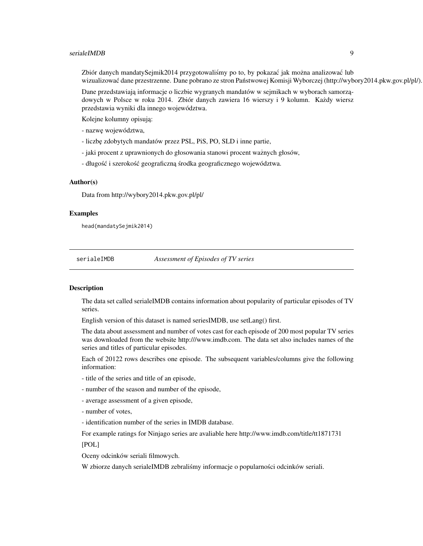#### <span id="page-8-0"></span>serialeIMDB 9

Zbiór danych mandatySejmik2014 przygotowaliśmy po to, by pokazać jak można analizować lub wizualizować dane przestrzenne. Dane pobrano ze stron Państwowej Komisji Wyborczej (http://wybory2014.pkw.gov.pl/pl/).

Dane przedstawiają informacje o liczbie wygranych mandatów w sejmikach w wyborach samorządowych w Polsce w roku 2014. Zbiór danych zawiera 16 wierszy i 9 kolumn. Każdy wiersz przedstawia wyniki dla innego województwa.

Kolejne kolumny opisują:

- nazw˛e województwa,

- liczbę zdobytych mandatów przez PSL, PiS, PO, SLD i inne partie,

- jaki procent z uprawnionych do głosowania stanowi procent waznych głosów, ˙

- długość i szerokość geograficzną środka geograficznego województwa.

#### Author(s)

Data from http://wybory2014.pkw.gov.pl/pl/

#### Examples

head(mandatySejmik2014)

serialeIMDB *Assessment of Episodes of TV series*

#### **Description**

The data set called serialeIMDB contains information about popularity of particular episodes of TV series.

English version of this dataset is named seriesIMDB, use setLang() first.

The data about assessment and number of votes cast for each episode of 200 most popular TV series was downloaded from the website http:///www.imdb.com. The data set also includes names of the series and titles of particular episodes.

Each of 20122 rows describes one episode. The subsequent variables/columns give the following information:

- title of the series and title of an episode,
- number of the season and number of the episode,
- average assessment of a given episode,

- number of votes,

- identification number of the series in IMDB database.

For example ratings for Ninjago series are avaliable here http://www.imdb.com/title/tt1871731

[POL]

Oceny odcinków seriali filmowych.

W zbiorze danych serialeIMDB zebraliśmy informacje o popularności odcinków seriali.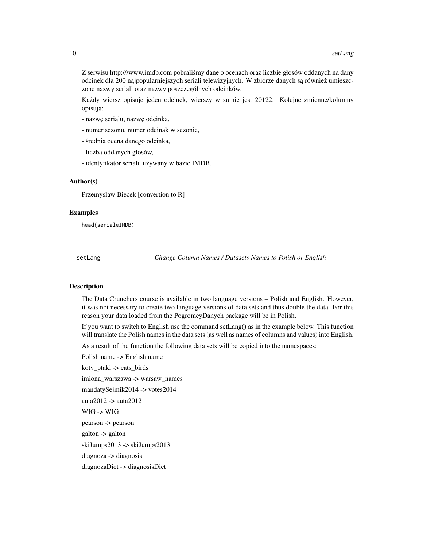<span id="page-9-0"></span>Z serwisu http:///www.imdb.com pobralismy dane o ocenach oraz liczbie głosów oddanych na dany ´ odcinek dla 200 najpopularniejszych seriali telewizyjnych. W zbiorze danych są również umieszczone nazwy seriali oraz nazwy poszczególnych odcinków.

Każdy wiersz opisuje jeden odcinek, wierszy w sumie jest 20122. Kolejne zmienne/kolumny opisują:

- nazw˛e serialu, nazw˛e odcinka,
- numer sezonu, numer odcinak w sezonie,
- średnia ocena danego odcinka,
- liczba oddanych głosów,
- identyfikator serialu używany w bazie IMDB.

#### Author(s)

Przemyslaw Biecek [convertion to R]

#### Examples

head(serialeIMDB)

setLang *Change Column Names / Datasets Names to Polish or English*

#### Description

The Data Crunchers course is available in two language versions – Polish and English. However, it was not necessary to create two language versions of data sets and thus double the data. For this reason your data loaded from the PogromcyDanych package will be in Polish.

If you want to switch to English use the command setLang() as in the example below. This function will translate the Polish names in the data sets (as well as names of columns and values) into English.

As a result of the function the following data sets will be copied into the namespaces:

Polish name -> English name

koty\_ptaki -> cats\_birds

imiona\_warszawa -> warsaw\_names

mandatySejmik2014 -> votes2014

auta2012 -> auta2012

WIG -> WIG

pearson -> pearson

galton -> galton

skiJumps2013 -> skiJumps2013

diagnoza -> diagnosis

diagnozaDict -> diagnosisDict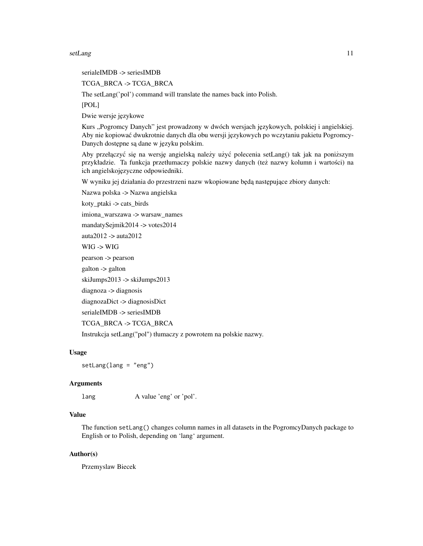setLang and the set of the set of the set of the set of the set of the set of the set of the set of the set of the set of the set of the set of the set of the set of the set of the set of the set of the set of the set of t

serialeIMDB -> seriesIMDB

TCGA\_BRCA -> TCGA\_BRCA

The setLang('pol') command will translate the names back into Polish.

[POL]

Dwie wersje językowe

Kurs "Pogromcy Danych" jest prowadzony w dwóch wersjach językowych, polskiej i angielskiej. Aby nie kopiować dwukrotnie danych dla obu wersji językowych po wczytaniu pakietu Pogromcy-Danych dostępne są dane w języku polskim.

Aby przełączyć się na wersję angielską należy użyć polecenia setLang() tak jak na poniższym przykładzie. Ta funkcja przetłumaczy polskie nazwy danych (też nazwy kolumn i wartości) na ich angielskojęzyczne odpowiedniki.

W wyniku jej działania do przestrzeni nazw wkopiowane będą następujące zbiory danych:

Nazwa polska -> Nazwa angielska

koty\_ptaki -> cats\_birds

imiona\_warszawa -> warsaw\_names

mandatySejmik2014 -> votes2014

auta2012 -> auta2012

WIG -> WIG

pearson -> pearson

galton -> galton

skiJumps2013 -> skiJumps2013

diagnoza -> diagnosis

diagnozaDict -> diagnosisDict

serialeIMDB -> seriesIMDB

```
TCGA_BRCA -> TCGA_BRCA
```
Instrukcja setLang("pol") tłumaczy z powrotem na polskie nazwy.

#### Usage

setLang(lang = "eng")

#### Arguments

lang A value 'eng' or 'pol'.

### Value

The function setLang() changes column names in all datasets in the PogromcyDanych package to English or to Polish, depending on 'lang' argument.

#### Author(s)

Przemyslaw Biecek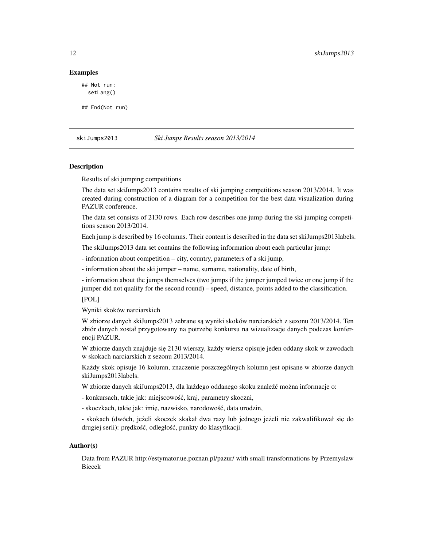#### Examples

## Not run: setLang()

## End(Not run)

skiJumps2013 *Ski Jumps Results season 2013/2014*

#### **Description**

Results of ski jumping competitions

The data set skiJumps2013 contains results of ski jumping competitions season 2013/2014. It was created during construction of a diagram for a competition for the best data visualization during PAZUR conference.

The data set consists of 2130 rows. Each row describes one jump during the ski jumping competitions season 2013/2014.

Each jump is described by 16 columns. Their content is described in the data set skiJumps2013labels.

The skiJumps2013 data set contains the following information about each particular jump:

- information about competition – city, country, parameters of a ski jump,

- information about the ski jumper – name, surname, nationality, date of birth,

- information about the jumps themselves (two jumps if the jumper jumped twice or one jump if the jumper did not qualify for the second round) – speed, distance, points added to the classification.

[POL]

Wyniki skoków narciarskich

W zbiorze danych skiJumps2013 zebrane są wyniki skoków narciarskich z sezonu 2013/2014. Ten zbiór danych został przygotowany na potrzebę konkursu na wizualizacje danych podczas konferencji PAZUR.

W zbiorze danych znajduje się 2130 wierszy, każdy wiersz opisuje jeden oddany skok w zawodach w skokach narciarskich z sezonu 2013/2014.

Kazdy skok opisuje 16 kolumn, znaczenie poszczególnych kolumn jest opisane w zbiorze danych ˙ skiJumps2013labels.

W zbiorze danych skiJumps2013, dla każdego oddanego skoku znaleźć można informacje o:

- konkursach, takie jak: miejscowość, kraj, parametry skoczni,

- skoczkach, takie jak: imię, nazwisko, narodowość, data urodzin,

- skokach (dwóch, jeżeli skoczek skakał dwa razy lub jednego jeżeli nie zakwalifikował się do drugiej serii): prędkość, odległość, punkty do klasyfikacji.

#### Author(s)

Data from PAZUR http://estymator.ue.poznan.pl/pazur/ with small transformations by Przemyslaw Biecek

<span id="page-11-0"></span>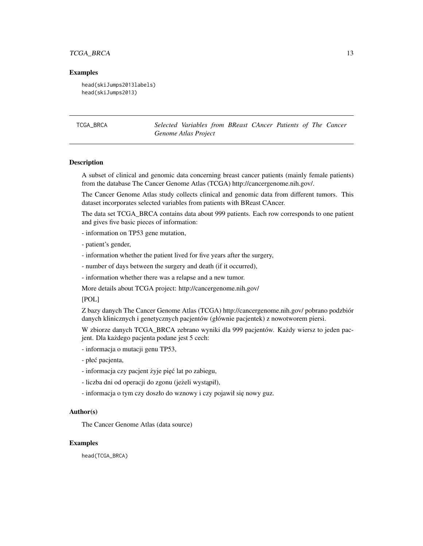### <span id="page-12-0"></span>TCGA\_BRCA 13

#### Examples

```
head(skiJumps2013labels)
head(skiJumps2013)
```
TCGA\_BRCA *Selected Variables from BReast CAncer Patients of The Cancer Genome Atlas Project*

### **Description**

A subset of clinical and genomic data concerning breast cancer patients (mainly female patients) from the database The Cancer Genome Atlas (TCGA) http://cancergenome.nih.gov/.

The Cancer Genome Atlas study collects clinical and genomic data from different tumors. This dataset incorporates selected variables from patients with BReast CAncer.

The data set TCGA\_BRCA contains data about 999 patients. Each row corresponds to one patient and gives five basic pieces of information:

- information on TP53 gene mutation,
- patient's gender,
- information whether the patient lived for five years after the surgery,
- number of days between the surgery and death (if it occurred),
- information whether there was a relapse and a new tumor.

More details about TCGA project: http://cancergenome.nih.gov/

[POL]

Z bazy danych The Cancer Genome Atlas (TCGA) http://cancergenome.nih.gov/ pobrano podzbiór danych klinicznych i genetycznych pacjentów (głównie pacjentek) z nowotworem piersi.

W zbiorze danych TCGA\_BRCA zebrano wyniki dla 999 pacjentów. Każdy wiersz to jeden pacjent. Dla każdego pacjenta podane jest 5 cech:

- informacja o mutacji genu TP53,
- płeć pacjenta,
- informacja czy pacjent żyje pięć lat po zabiegu,
- liczba dni od operacji do zgonu (jeżeli wystąpił),
- informacja o tym czy doszło do wznowy i czy pojawił się nowy guz.

#### Author(s)

The Cancer Genome Atlas (data source)

#### Examples

head(TCGA\_BRCA)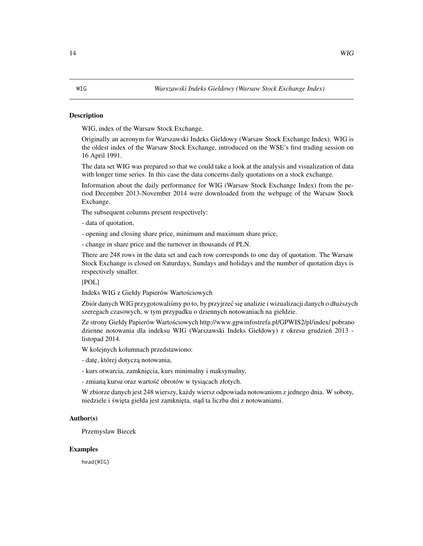#### <span id="page-13-0"></span>**Description**

WIG, index of the Warsaw Stock Exchange.

Originally an acronym for Warszawski Indeks Gieldowy (Warsaw Stock Exchange Index). WIG is the oldest index of the Warsaw Stock Exchange, introduced on the WSE's first trading session on 16 April 1991.

The data set WIG was prepared so that we could take a look at the analysis and visualization of data with longer time series. In this case the data concerns daily quotations on a stock exchange.

Information about the daily performance for WIG (Warsaw Stock Exchange Index) from the period December 2013-November 2014 were downloaded from the webpage of the Warsaw Stock Exchange.

The subsequent columns present respectively:

- data of quotation,

- opening and closing share price, minimum and maximum share price,

- change in share price and the turnover in thousands of PLN.

There are 248 rows in the data set and each row corresponds to one day of quotation. The Warsaw Stock Exchange is closed on Saturdays, Sundays and holidays and the number of quotation days is respectively smaller.

#### [POL]

Indeks WIG z Giełdy Papierów Wartosciowych ´

Zbiór danych WIG przygotowaliśmy po to, by przyjrzeć się analizie i wizualizacji danych o dłuższych szeregach czasowych, w tym przypadku o dziennych notowaniach na giełdzie.

Ze strony Giełdy Papierów Wartosciowych http://www.gpwinfostrefa.pl/GPWIS2/pl/index/ pobrano ´ dzienne notowania dla indeksu WIG (Warszawski Indeks Giełdowy) z okresu grudzien 2013 - ´ listopad 2014.

W kolejnych kolumnach przedstawiono:

- datę, której dotyczą notowania,

- kurs otwarcia, zamknięcia, kurs minimalny i maksymalny,

- zmianą kursu oraz wartość obrotów w tysiącach złotych.

W zbiorze danych jest 248 wierszy, kazdy wiersz odpowiada notowaniom z jednego dnia. W soboty, ˙ niedziele i święta giełda jest zamknięta, stąd ta liczba dni z notowaniami.

#### Author(s)

Przemyslaw Biecek

#### Examples

head(WIG)